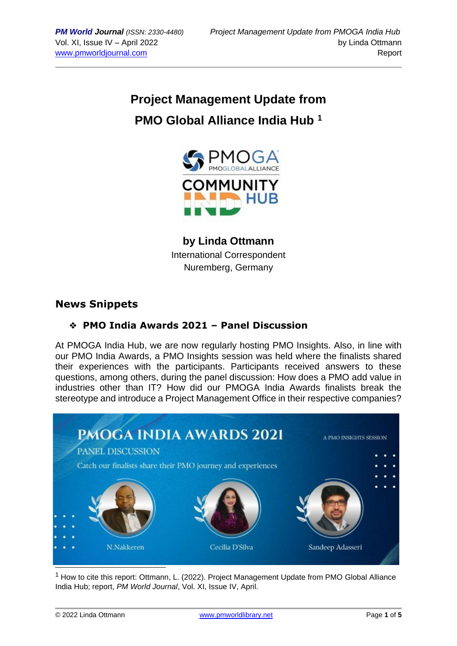# **Project Management Update from PMO Global Alliance India Hub <sup>1</sup>**



**by Linda Ottmann** International Correspondent Nuremberg, Germany

## **News Snippets**

### ❖ **PMO India Awards 2021 – Panel Discussion**

At PMOGA India Hub, we are now regularly hosting PMO Insights. Also, in line with our PMO India Awards, a PMO Insights session was held where the finalists shared their experiences with the participants. Participants received answers to these questions, among others, during the panel discussion: How does a PMO add value in industries other than IT? How did our PMOGA India Awards finalists break the stereotype and introduce a Project Management Office in their respective companies?



 $1$  How to cite this report: Ottmann, L. (2022). Project Management Update from PMO Global Alliance India Hub; report, *PM World Journal*, Vol. XI, Issue IV, April.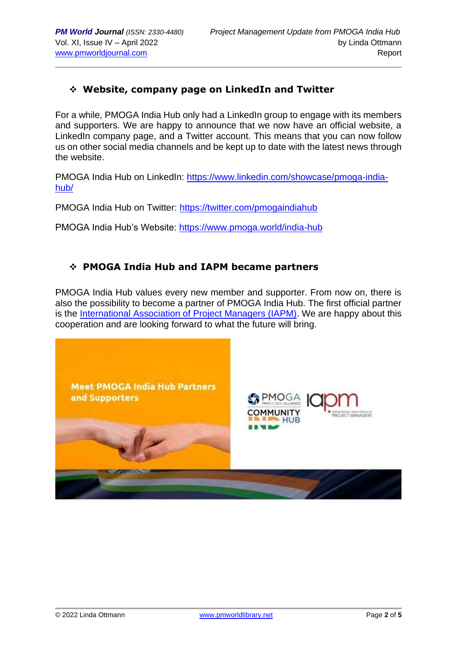#### ❖ **Website, company page on LinkedIn and Twitter**

For a while, PMOGA India Hub only had a LinkedIn group to engage with its members and supporters. We are happy to announce that we now have an official website, a LinkedIn company page, and a Twitter account. This means that you can now follow us on other social media channels and be kept up to date with the latest news through the website.

PMOGA India Hub on LinkedIn: [https://www.linkedin.com/showcase/pmoga-india](https://www.linkedin.com/showcase/pmoga-india-hub/)[hub/](https://www.linkedin.com/showcase/pmoga-india-hub/)

PMOGA India Hub on Twitter: <https://twitter.com/pmogaindiahub>

PMOGA India Hub's Website:<https://www.pmoga.world/india-hub>

#### ❖ **PMOGA India Hub and IAPM became partners**

PMOGA India Hub values every new member and supporter. From now on, there is also the possibility to become a partner of PMOGA India Hub. The first official partner is the [International Association of Project Managers \(IAPM\).](https://www.iapm.net/en/) We are happy about this cooperation and are looking forward to what the future will bring.

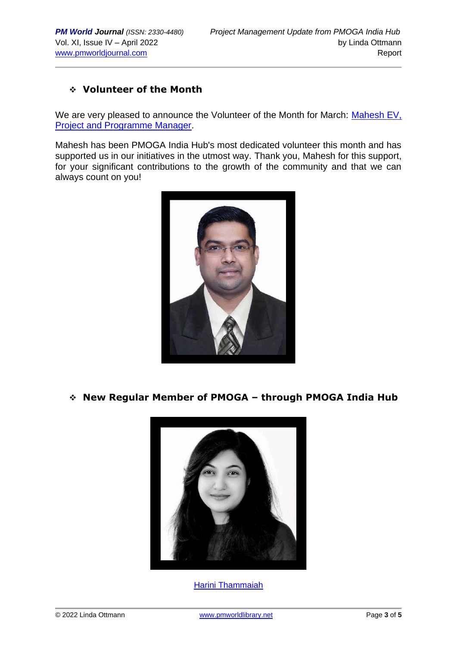#### ❖ **Volunteer of the Month**

We are very pleased to announce the Volunteer of the Month for March: Mahesh EV, [Project and Programme Manager.](https://www.linkedin.com/in/mahesh-ev-pmp%C2%AE-prince2%C2%AE-asm%C2%AE-cspm-csapm-bvopm%E2%84%A2-lss-bb-0087a530/)

Mahesh has been PMOGA India Hub's most dedicated volunteer this month and has supported us in our initiatives in the utmost way. Thank you, Mahesh for this support, for your significant contributions to the growth of the community and that we can always count on you!



#### ❖ **New Regular Member of PMOGA – through PMOGA India Hub**



[Harini Thammaiah](https://www.linkedin.com/in/harini-thammaiah-1041a1122/)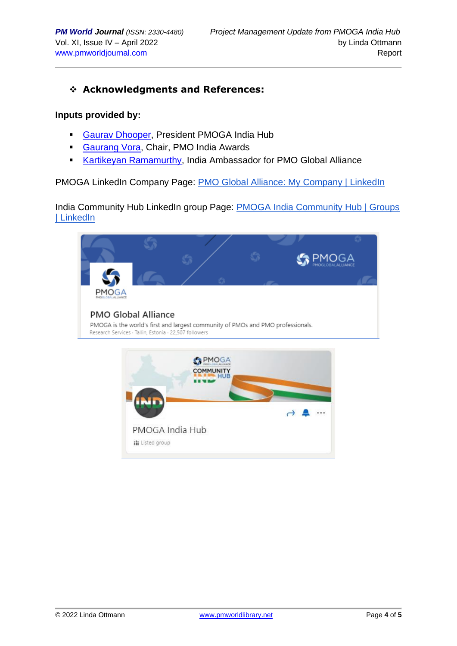#### ❖ **Acknowledgments and References:**

#### **Inputs provided by:**

- **[Gaurav Dhooper,](https://www.linkedin.com/in/gaurav-dhooper-pal-i%C2%AE-pmi-acp%C2%AE-safe4%C2%AE-csm%C2%AE-lss-gb-b871a5a/) President PMOGA India Hub**
- [Gaurang Vora,](https://www.linkedin.com/in/gaurang-vora-a0255a1b/) Chair, PMO India Awards
- **[Kartikeyan Ramamurthy,](https://www.linkedin.com/in/kartikeyan-ramamurthy-pmp%C2%AE-pfmp%C2%AE-pmo-cp%C2%AE-safe-5%C2%AE-agilist-555b3714/) India Ambassador for PMO Global Alliance**

PMOGA LinkedIn Company Page: **[PMO Global Alliance: My Company | LinkedIn](https://www.linkedin.com/company/pmoga/mycompany/)** 

India Community Hub LinkedIn group Page: PMOGA India Community Hub | Groups [| LinkedIn](https://www.linkedin.com/groups/13985237/)